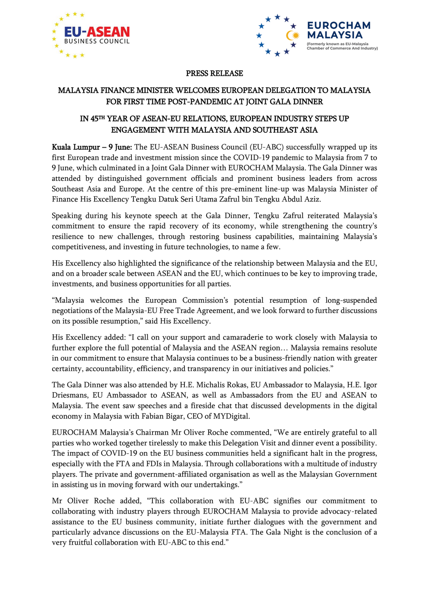



#### PRESS RELEASE

# MALAYSIA FINANCE MINISTER WELCOMES EUROPEAN DELEGATION TO MALAYSIA FOR FIRST TIME POST-PANDEMIC AT JOINT GALA DINNER

## IN 45TH YEAR OF ASEAN-EU RELATIONS, EUROPEAN INDUSTRY STEPS UP ENGAGEMENT WITH MALAYSIA AND SOUTHEAST ASIA

Kuala Lumpur – 9 June: The EU-ASEAN Business Council (EU-ABC) successfully wrapped up its first European trade and investment mission since the COVID-19 pandemic to Malaysia from 7 to 9 June, which culminated in a Joint Gala Dinner with EUROCHAM Malaysia. The Gala Dinner was attended by distinguished government officials and prominent business leaders from across Southeast Asia and Europe. At the centre of this pre-eminent line-up was Malaysia Minister of Finance His Excellency Tengku Datuk Seri Utama Zafrul bin Tengku Abdul Aziz.

Speaking during his keynote speech at the Gala Dinner, Tengku Zafrul reiterated Malaysia's commitment to ensure the rapid recovery of its economy, while strengthening the country's resilience to new challenges, through restoring business capabilities, maintaining Malaysia's competitiveness, and investing in future technologies, to name a few.

His Excellency also highlighted the significance of the relationship between Malaysia and the EU, and on a broader scale between ASEAN and the EU, which continues to be key to improving trade, investments, and business opportunities for all parties.

"Malaysia welcomes the European Commission's potential resumption of long-suspended negotiations of the Malaysia-EU Free Trade Agreement, and we look forward to further discussions on its possible resumption," said His Excellency.

His Excellency added: "I call on your support and camaraderie to work closely with Malaysia to further explore the full potential of Malaysia and the ASEAN region… Malaysia remains resolute in our commitment to ensure that Malaysia continues to be a business-friendly nation with greater certainty, accountability, efficiency, and transparency in our initiatives and policies."

The Gala Dinner was also attended by H.E. Michalis Rokas, EU Ambassador to Malaysia, H.E. Igor Driesmans, EU Ambassador to ASEAN, as well as Ambassadors from the EU and ASEAN to Malaysia. The event saw speeches and a fireside chat that discussed developments in the digital economy in Malaysia with Fabian Bigar, CEO of MYDigital.

EUROCHAM Malaysia's Chairman Mr Oliver Roche commented, "We are entirely grateful to all parties who worked together tirelessly to make this Delegation Visit and dinner event a possibility. The impact of COVID-19 on the EU business communities held a significant halt in the progress, especially with the FTA and FDIs in Malaysia. Through collaborations with a multitude of industry players. The private and government-affiliated organisation as well as the Malaysian Government in assisting us in moving forward with our undertakings."

Mr Oliver Roche added, "This collaboration with EU-ABC signifies our commitment to collaborating with industry players through EUROCHAM Malaysia to provide advocacy-related assistance to the EU business community, initiate further dialogues with the government and particularly advance discussions on the EU-Malaysia FTA. The Gala Night is the conclusion of a very fruitful collaboration with EU-ABC to this end."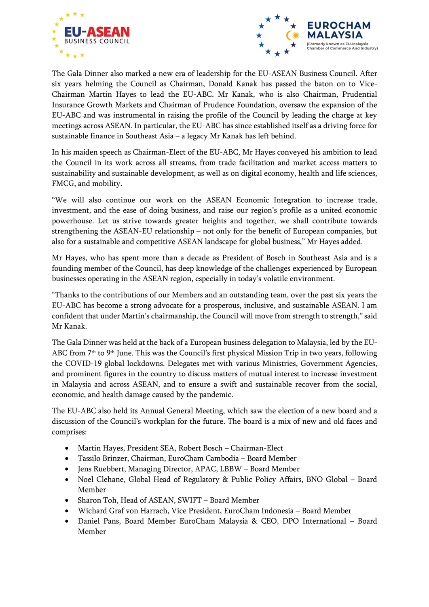



The Gala Dinner also marked a new era of leadership for the EU-ASEAN Business Council. After six years helming the Council as Chairman, Donald Kanak has passed the baton on to Vice-Chairman Martin Hayes to lead the EU-ABC. Mr Kanak, who is also Chairman, Prudential Insurance Growth Markets and Chairman of Prudence Foundation, oversaw the expansion of the EU-ABC and was instrumental in raising the profile of the Council by leading the charge at key meetings across ASEAN. In particular, the EU-ABC has since established itself as a driving force for sustainable finance in Southeast Asia – a legacy Mr Kanak has left behind.

In his maiden speech as Chairman-Elect of the EU-ABC, Mr Hayes conveyed his ambition to lead the Council in its work across all streams, from trade facilitation and market access matters to sustainability and sustainable development, as well as on digital economy, health and life sciences, FMCG, and mobility.

"We will also continue our work on the ASEAN Economic Integration to increase trade, investment, and the ease of doing business, and raise our region's profile as a united economic powerhouse. Let us strive towards greater heights and together, we shall contribute towards strengthening the ASEAN-EU relationship – not only for the benefit of European companies, but also for a sustainable and competitive ASEAN landscape for global business," Mr Hayes added.

Mr Hayes, who has spent more than a decade as President of Bosch in Southeast Asia and is a founding member of the Council, has deep knowledge of the challenges experienced by European businesses operating in the ASEAN region, especially in today's volatile environment.

"Thanks to the contributions of our Members and an outstanding team, over the past six years the EU-ABC has become a strong advocate for a prosperous, inclusive, and sustainable ASEAN. I am confident that under Martin's chairmanship, the Council will move from strength to strength," said Mr Kanak.

The Gala Dinner was held at the back of a European business delegation to Malaysia, led by the EU-ABC from 7th to 9th June. This was the Council's first physical Mission Trip in two years, following the COVID-19 global lockdowns. Delegates met with various Ministries, Government Agencies, and prominent figures in the country to discuss matters of mutual interest to increase investment in Malaysia and across ASEAN, and to ensure a swift and sustainable recover from the social, economic, and health damage caused by the pandemic.

The EU-ABC also held its Annual General Meeting, which saw the election of a new board and a discussion of the Council's workplan for the future. The board is a mix of new and old faces and comprises:

- Martin Hayes, President SEA, Robert Bosch Chairman-Elect
- Tassilo Brinzer, Chairman, EuroCham Cambodia Board Member
- Jens Ruebbert, Managing Director, APAC, LBBW Board Member
- Noel Clehane, Global Head of Regulatory & Public Policy Affairs, BNO Global Board Member
- Sharon Toh, Head of ASEAN, SWIFT Board Member
- Wichard Graf von Harrach, Vice President, EuroCham Indonesia Board Member
- Daniel Pans, Board Member EuroCham Malaysia & CEO, DPO International Board Member